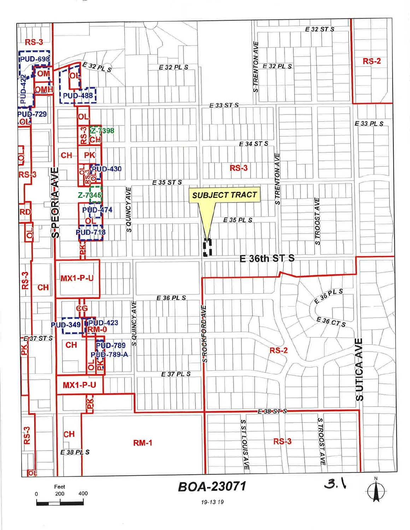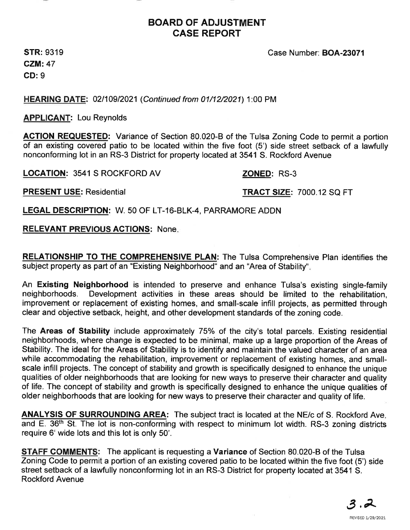

# BOARD OF ADJUSTMENT CASE REPORT

**STR: 9319** CZM:47 GD: 9

HEARING DATE: 02110912021 (Continued from 01/12/2021) 1:00 PM

**APPLICANT: Lou Reynolds** 

ACTION REQUESTED: Variance of Section 80.020-B of the Tulsa Zoning Code to permit a portion of an existing covered patio to be located within the five foot (5') side street setback of a lawfully nonconforming lot in an RS-3 District for property located at 3541 S. Rockford Avenue

LOCATION: 3541 S ROCKFORD AV **ZONED:** RS-3

PRESENT USE: Residential TRACT SIZE: 7000.12 SQ FT

Case Number: BOA-23071

LEGAL DESCRIPTION: W. 50 OF LT-16-BLK-4 , PARRAMORE ADDN

# RELEVANT PREVIOUS ACTIONS: None.

RELATIONSHIP TO THE COMPREHENSIVE PLAN: The Tulsa Comprehensive Plan identifies the subject property as part of an "Existing Neighborhood" and an "Area of Stability".

An Existing Neighborhood is intended to preserve and enhance Tulsa's existing single-family neighborhoods. Development activities in these areas should be limited to the rehabilitation, improvement or replacement of existing homes, and small-scale infill projects, as permitted through clear and objective setback, height, and other development standards of the zoning code.

The Areas of Stability include approximately 75% of the city's total parcels. Existing residential neighborhoods, where change is expected to be minimal, make up a large proportion of the Areas of Stability. The ideal for the Areas of Stability is to identify and maintain the valued character of an area while accommodating the rehabilitation, improvement or replacement of existing homes, and smallscale infill projects. The concept of stability and growth is specifically designed to enhance the unique qualities of older neighborhoods that are looking for new ways to preserve their character and quality of life. The concept of stability and growth is specifically designed to enhance the unique qualities of older neighborhoods that are looking for new ways to preserve their character and quality of life.

**ANALYSIS OF SURROUNDING AREA:** The subject tract is located at the NE/c of S. Rockford Ave. and E. 36<sup>th</sup> St. The lot is non-conforming with respect to minimum lot width. RS-3 zoning districts require 6'wide lots and this lot is only 50'.

**STAFF COMMENTS:** The applicant is requesting a Variance of Section 80.020-B of the Tulsa Zoning Code to permit a portion of an existing covered patio to be located within the five foot (5') side street setback of a lawfully nonconforming lot in an RS-3 District for property located at 3541 S. Rockford Avenue

 $3.\overline{2}$ 

REVISED 1/29/2021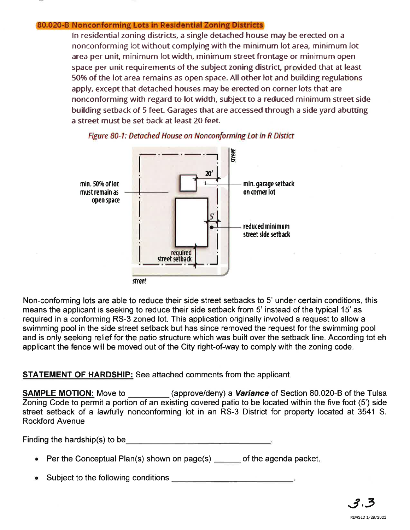#### 80.020-B Nonconforming Lots in Residential Zoning Districts

In residential zoning districts, a single detached house may be erected on a nonconforming lot without complying with the minimum lot area, minimum lot area per unit, minimum lot width, minimum street frontage or minimum open space per unit requirements of the subject zoning district, provided that at least 50% of the lot area remains as open space. All other lot and building regulations apply, except that detached houses may be erected on corner lots that are nonconforrning with regard to lot width, subject to a reduced minimum street side building setback of 5 feet. Garages that are accessed through a side yard abutting a street must be set back at least 20 feet.



Figure 80-1: Detached House on Nonconforming Lot in R Distict

Non-conforming lots are able to reduce their side street setbacks to 5' under certain conditions, this means the applicant is seeking to reduce their side setback from 5' instead of the typical 15' as required in a conforming RS-3 zoned lot. This application originally involved a request to allow a swimming pool in the side street setback but has since removed the request for the swimming pool and is only seeking relief for the patio structure which was built over the setback line. According tot eh applicant the fence will be moved out of the City right-of-way to comply with the zoning code.

## STATEMENT OF HARDSHIP: See attached comments from the applicant.

**SAMPLE MOTION:** Move to (approve/deny) a **Variance** of Section 80.020-B of the Tulsa Zoning Code to permit a portion of an existing covered patio to be located within the five foot (5') side street setback of a lawfully nonconforming lot in an RS-3 District for property located at 3541 S. Rockford Avenue

Finding the hardship(s) to be

- $\bullet$  Per the Conceptual Plan(s) shown on page(s) \_\_\_\_\_\_ of the agenda packet
- Subject to the following conditions **Subject to the following conditions**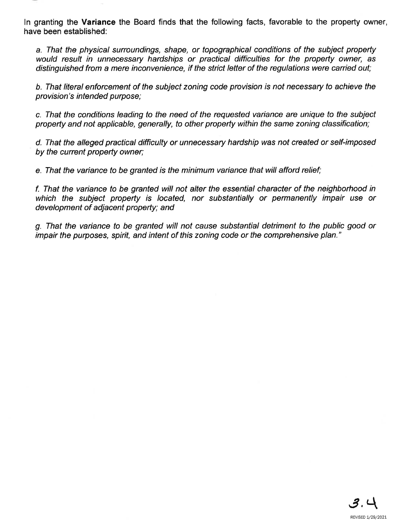ln granting the Variance the Board finds that the following facts, favorable to the property owner, have been established:

a. That the physical surroundings, shape, or topographical condítions of the subject property would result in unnecessary hardships or practical difficulties for the property owner, as distinguished from a mere inconveníence, íf the strict letter of the regulations were carried out;

b. That literal enforcement of the subject zoning code provision is not necessary to achieve the provision's intended purpose;

c. That the conditions leading to the need of the requested variance are unique to the subject property and not applicable, generally, to other property within the same zoning classification;

d. That the alleged practical difficulty or unnecessary hardship was not created or self-imposed by the current property owner;

e. That the variance to be granted is the minimum variance that will afford relief;

f. That the variance to be granted will not alter fhe essential character of the neighborhood in which the subject property is located, nor substantially or permanently impair use or development of adjacent property; and

g. That the variance to be granted will not cause substantíal detriment to the public good or impair the purposes, spirit, and intent of this zoning code or the comprehensive plan."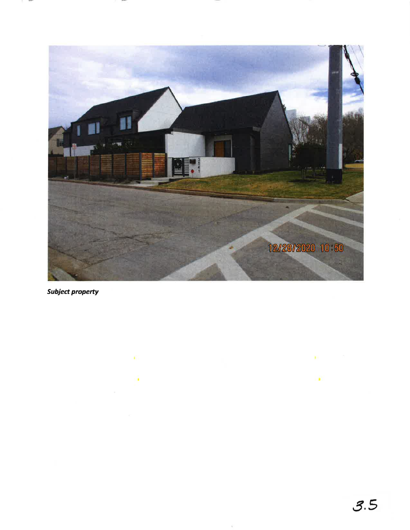

**Subject property** 

 $\sim$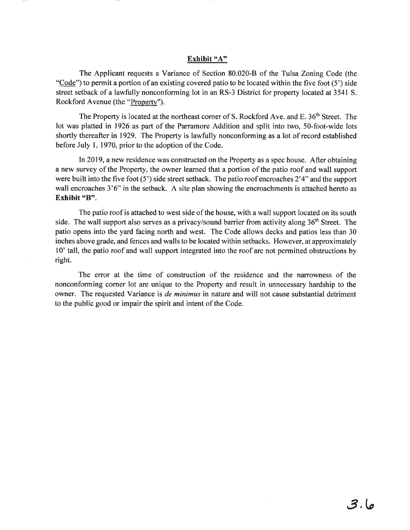#### Exhibit "A"

The Applicant requests a Variance of Section 80.020-8 of the Tulsa Zoning Code (the "Code") to permit a portion of an existing covered patio to be located within the five foot  $(5')$  side street setback of a lawfully nonconforming lot in an RS-3 District for property located at 3541 S. Rockford Avenue (the "Property").

The Property is located at the northeast corner of S. Rockford Ave. and E. 36<sup>th</sup> Street. The lot was platted in 1926 as part of the Parramore Addition and split into two, 5O-foot-wide lots shortly thereafter in 1929. The Property is lawfully nonconforming as a lot of record established before July 1, 1970, prior to the adoption of the Code.

In2019, a new residence was constructed on the Property as a spec house. After obtaining a new survey of the Property, the owner learned that a portion of the patio roof and wall support were built into the five foot  $(5')$  side street setback. The patio roof encroaches  $2'4''$  and the support wall encroaches  $3'6''$  in the setback. A site plan showing the encroachments is attached hereto as Exhibit "B".

The patio roof is attached to west side of the house, with a wall support located on its south side. The wall support also serves as a privacy/sound barrier from activity along  $36<sup>th</sup>$  Street. The patio opens into the yard facing north and west. The Code allows decks and patios less than 30 inches above grade, and fences and walls to be located within setbacks. However, at approximately l0' tall, the patio roof and wall support integrated into the roof are not permitted obstructions by right.

The error at the time of construction of the residence and the narrowness of the nonconforming corner lot are unique to the Property and result in unnecessary hardship to the owner. The requested Variance is *de minimus* in nature and will not cause substantial detriment to the public good or impair the spirit and intent of the Code.

# 3 ,le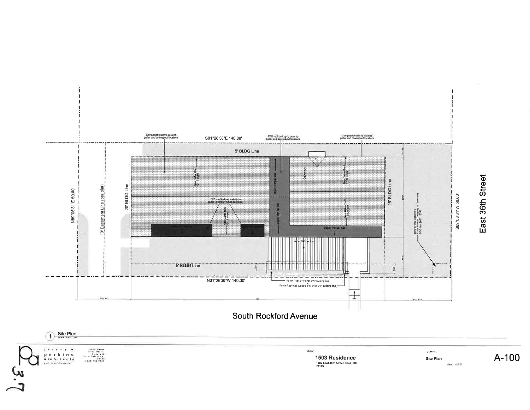

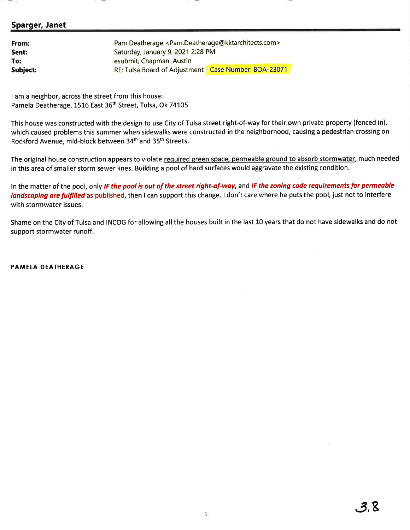### Sparger, Janet

| From:    | Pam Deatherage <pam.deatherage@kktarchitects.com></pam.deatherage@kktarchitects.com> |
|----------|--------------------------------------------------------------------------------------|
| Sent:    | Saturday, January 9, 2021 2:28 PM                                                    |
| To:      | esubmit; Chapman, Austin                                                             |
| Subject: | RE: Tulsa Board of Adjustment - Case Number: BOA-23071                               |

I am a neighbor, across the street from this house: Pamela Deatherage, 1516 East 36<sup>th</sup> Street, Tulsa, Ok 74105

This house was constructed with the design to use City of Tulsa street right-of-way for their own private property (fenced in), which caused problems this summer when sidewalks were constructed in the neighborhood, causing a pedestrian crossing on Rockford Avenue, mid-block between 34th and 35th Streets.

The original house construction appears to violate required green space, permeable ground to absorb stormwater, much needed in this area of smaller storm sewer lines. Building a pool of hard surfaces would aggravate the existing condition.

In the matter of the pool, only IF the pool is out of the street right-of-way, and IF the zoning code requirements for permeable landscaping are fulfilled as published, then I can support this change. I don't care where he puts the pool, just not to interfere with stormwater issues.

Shame on the City of Tulsa and INCOG for allowing all the houses built in the last 10 years that do not have sidewalks and do not support stormwater runoff.

PAMELA DEATHERAGE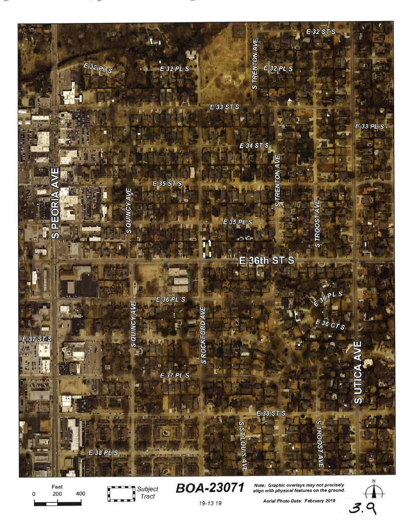

0 Feet<br>200  $\frac{1}{19}$  Tract 19-13 19 Aerial Photo Date: February 2018 3.



Aerial Photo Date: February 2018